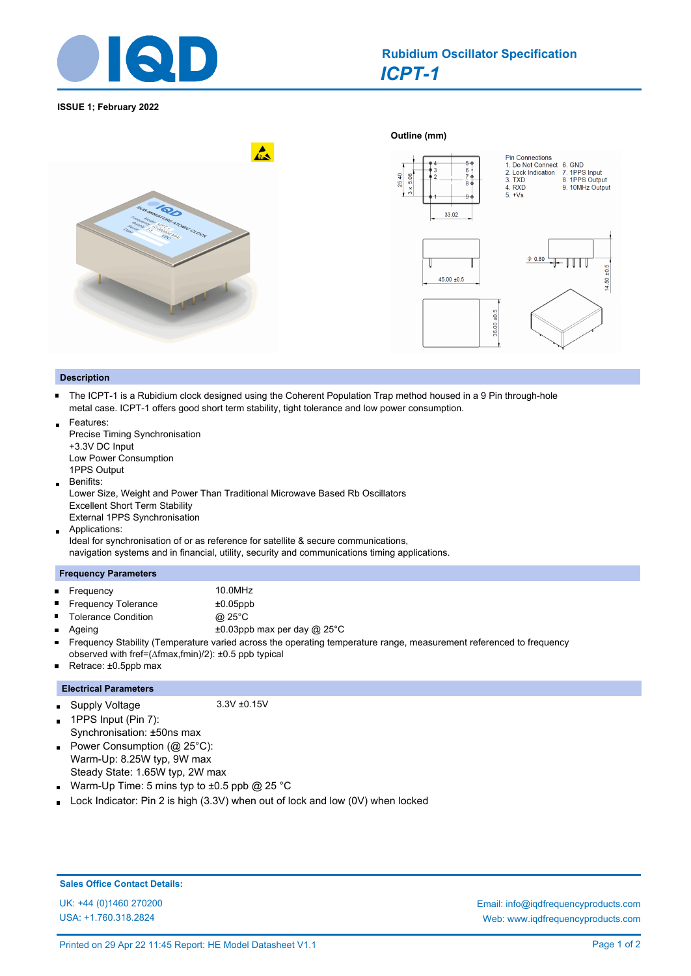

# *ICPT-1* **Rubidium Oscillator Specification**

### **ISSUE 1; February 2022**



#### **Description**

- $\blacksquare$ The ICPT-1 is a Rubidium clock designed using the Coherent Population Trap method housed in a 9 Pin through-hole metal case. ICPT-1 offers good short term stability, tight tolerance and low power consumption.
- Features: Precise Timing Synchronisation
- +3.3V DC Input Low Power Consumption
- 1PPS Output
- Benifits:  $\blacksquare$
- Lower Size, Weight and Power Than Traditional Microwave Based Rb Oscillators Excellent Short Term Stability
- External 1PPS Synchronisation
- Applications:  $\blacksquare$

Ideal for synchronisation of or as reference for satellite & secure communications, navigation systems and in financial, utility, security and communications timing applications.

#### **Frequency Parameters**

 $\blacksquare$ Frequency 10.0MHz

Ē,  $\blacksquare$ 

- Frequency Tolerance ±0.05ppb
- Tolerance Condition @ 25°C
- $\blacksquare$ Ageing  $\pm 0.03$ ppb max per day @ 25°C
- $\blacksquare$ Frequency Stability (Temperature varied across the operating temperature range, measurement referenced to frequency
- observed with fref=(∆fmax,fmin)/2): ±0.5 ppb typical
- Retrace: ±0.5ppb max  $\blacksquare$

## **Electrical Parameters**

#### Supply Voltage 3.3V ±0.15V  $\blacksquare$

- 1PPS Input (Pin 7): Synchronisation: ±50ns max Power Consumption  $(\mathbb{Q} 25^{\circ} \text{C})$ :
- Warm-Up: 8.25W typ, 9W max Steady State: 1.65W typ, 2W max
- Warm-Up Time: 5 mins typ to ±0.5 ppb @ 25 °C  $\blacksquare$
- Lock Indicator: Pin 2 is high (3.3V) when out of lock and low (0V) when locked

## **Sales Office Contact Details:**

USA: +1.760.318.2824

UK: +44 (0)1460 270200 Email: info@iqdfrequencyproducts.com Web: www.iqdfrequencyproducts.com